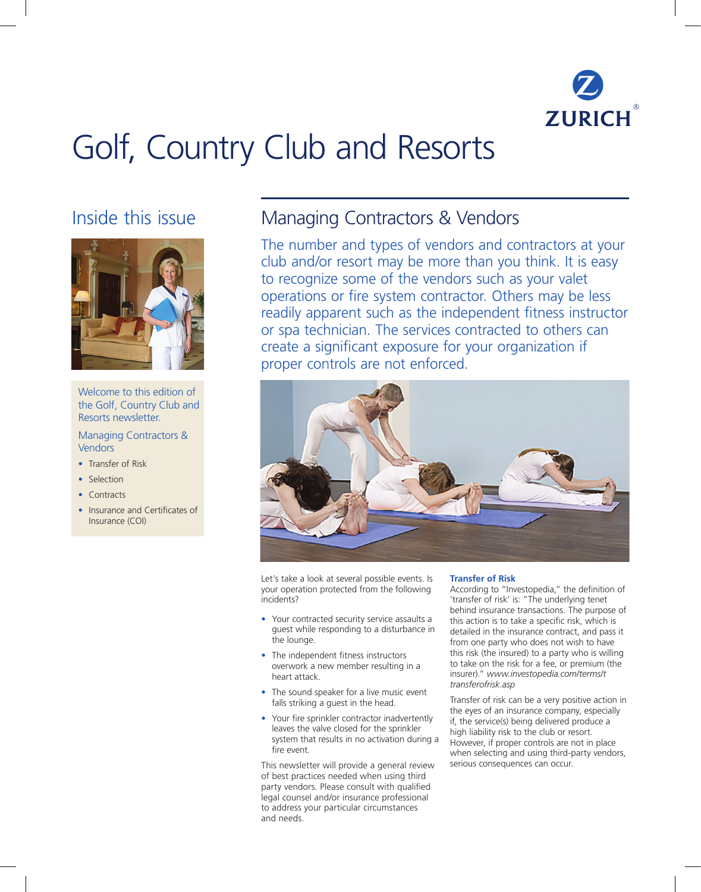

# Golf, Country Club and Resorts

# Inside this issue



Welcome to this edition of the Golf, Country Club and Resorts newsletter.

# Managing Contractors & **Vendors**

- Transfer of Risk
- Selection
- Contracts
- Insurance and Certificates of Insurance (COI)

# Managing Contractors & Vendors

The number and types of vendors and contractors at your club and/or resort may be more than you think. It is easy to recognize some of the vendors such as your valet operations or fire system contractor. Others may be less readily apparent such as the independent fitness instructor or spa technician. The services contracted to others can create a significant exposure for your organization if proper controls are not enforced.



Let's take a look at several possible events. Is your operation protected from the following incidents?

- Your contracted security service assaults a guest while responding to a disturbance in the lounge.
- The independent fitness instructors overwork a new member resulting in a heart attack.
- The sound speaker for a live music event falls striking a guest in the head.
- Your fire sprinkler contractor inadvertently leaves the valve closed for the sprinkler system that results in no activation during a fire event.

This newsletter will provide a general review of best practices needed when using third party vendors. Please consult with qualified legal counsel and/or insurance professional to address your particular circumstances and needs.

# **Transfer of Risk**

According to "Investopedia," the definition of 'transfer of risk' is: "The underlying tenet behind insurance transactions. The purpose of this action is to take a specific risk, which is detailed in the insurance contract, and pass it from one party who does not wish to have this risk (the insured) to a party who is willing to take on the risk for a fee, or premium (the insurer)." *www.investopedia.com/terms/t transferofrisk.asp*

Transfer of risk can be a very positive action in the eyes of an insurance company, especially if, the service(s) being delivered produce a high liability risk to the club or resort. However, if proper controls are not in place when selecting and using third-party vendors, serious consequences can occur.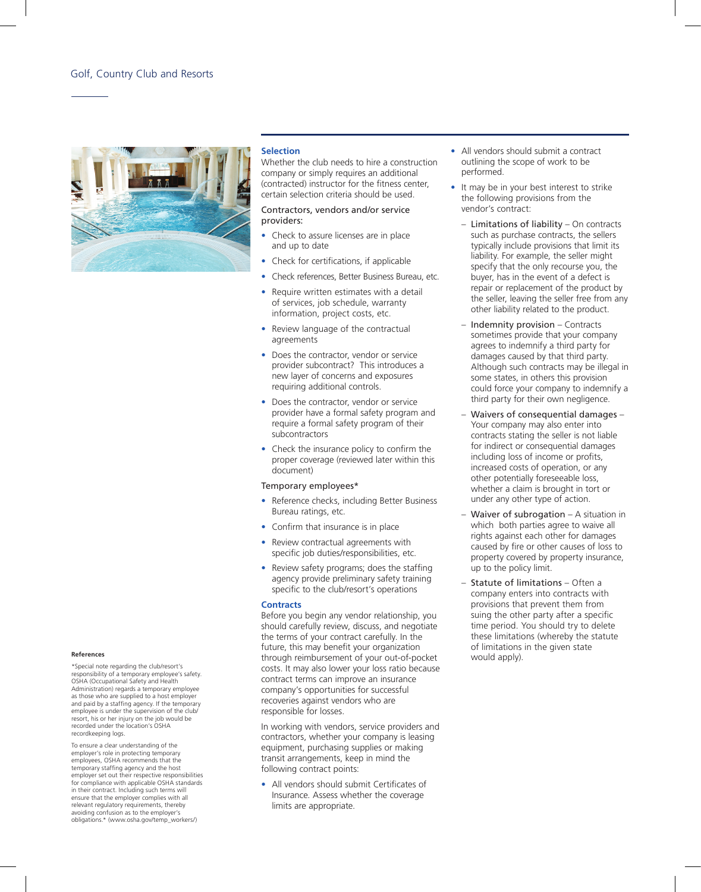## Golf, Country Club and Resorts



#### **Selection**

Whether the club needs to hire a construction company or simply requires an additional (contracted) instructor for the fitness center, certain selection criteria should be used.

#### Contractors, vendors and/or service providers:

- Check to assure licenses are in place and up to date
- Check for certifications, if applicable
- Check references, Better Business Bureau, etc.
- Require written estimates with a detail of services, job schedule, warranty information, project costs, etc.
- Review language of the contractual agreements
- Does the contractor, vendor or service provider subcontract? This introduces a new layer of concerns and exposures requiring additional controls.
- Does the contractor, vendor or service provider have a formal safety program and require a formal safety program of their subcontractors
- Check the insurance policy to confirm the proper coverage (reviewed later within this document)

#### Temporary employees\*

- Reference checks, including Better Business Bureau ratings, etc.
- Confirm that insurance is in place
- Review contractual agreements with specific job duties/responsibilities, etc.
- Review safety programs; does the staffing agency provide preliminary safety training specific to the club/resort's operations

#### **Contracts**

Before you begin any vendor relationship, you should carefully review, discuss, and negotiate the terms of your contract carefully. In the future, this may benefit your organization through reimbursement of your out-of-pocket costs. It may also lower your loss ratio because contract terms can improve an insurance company's opportunities for successful recoveries against vendors who are responsible for losses.

In working with vendors, service providers and contractors, whether your company is leasing equipment, purchasing supplies or making transit arrangements, keep in mind the following contract points:

All vendors should submit Certificates of Insurance. Assess whether the coverage limits are appropriate.

- All vendors should submit a contract outlining the scope of work to be performed.
- It may be in your best interest to strike the following provisions from the vendor's contract:
	- Limitations of liability  $-$  On contracts such as purchase contracts, the sellers typically include provisions that limit its liability. For example, the seller might specify that the only recourse you, the buyer, has in the event of a defect is repair or replacement of the product by the seller, leaving the seller free from any other liability related to the product.
	- Indemnity provision Contracts sometimes provide that your company agrees to indemnify a third party for damages caused by that third party. Although such contracts may be illegal in some states, in others this provision could force your company to indemnify a third party for their own negligence.
	- Waivers of consequential damages Your company may also enter into contracts stating the seller is not liable for indirect or consequential damages including loss of income or profits, increased costs of operation, or any other potentially foreseeable loss, whether a claim is brought in tort or under any other type of action.
	- Waiver of subrogation  $A$  situation in which both parties agree to waive all rights against each other for damages caused by fire or other causes of loss to property covered by property insurance, up to the policy limit.
	- Statute of limitations Often a company enters into contracts with provisions that prevent them from suing the other party after a specific time period. You should try to delete these limitations (whereby the statute of limitations in the given state would apply).

#### **References**

\*Special note regarding the club/resort's responsibility of a temporary employee's safety. OSHA (Occupational Safety and Health Administration) regards a temporary employee as those who are supplied to a host employer and paid by a staffing agency. If the temporary employee is under the supervision of the club/ resort, his or her injury on the job would be recorded under the location's OSHA recordkeeping logs.

To ensure a clear understanding of the employer's role in protecting temporary employees, OSHA recommends that the temporary staffing agency and the host employer set out their respective responsibilities for compliance with applicable OSHA standards in their contract. Including such terms will ensure that the employer complies with all relevant regulatory requirements, thereby avoiding confusion as to the employer's obligations.\* (www.osha.gov/temp\_workers/)